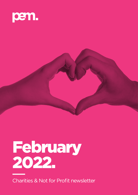



# February 2022.

Charities & Not for Profit newsletter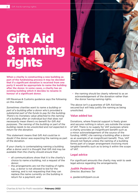# Gift Aid & naming rights

**When a charity is constructing a new building as part of the fundraising process it may be decided that if a significant donation is received from one party it would be appropriate to name the building after the donor. In some cases, a charity has an existing building which it decides to rename in honour of a significant donor.**

HM Revenue & Customs guidance says the following on this matter:

*Sometimes charities want to name a building or part of a building after a donor who's provided a substantial part of the funds to pay for the building. There's no monetary value attached to the naming of a building after an individual but that does not necessarily mean there's no benefit for Gift Aid purposes. The naming of the building or part of the building needs to be unsolicited and not expected in return for the donation.*

This statement means that Gift Aid could be in doubt if the donor was expecting the naming as part of the donation.

If your charity is contemplating naming a building after a donor and it is thought that Gift Aid may be available then the charity should ensure that:

- all communications show that it is the charity's choice to name a building, not a request of the donor;
- the arrangements are not the trading of rights e.g., a donor is not allowed to bid for the naming, and is not requesting that they can replace the name currently on the building in return for a payment; and



the naming should be clearly referred to as an acknowledgement of the donation rather than the donor having naming rights.

The above isn't a guarantee of Gift Aid being secured but will help justify the naming as being unsolicited.

# **Value added tax**

Donations, where financial support is freely given and secures nothing in return, are outside the scope of VAT. There is no supply for VAT purposes where a charity provides an insignificant benefit such as a minor acknowledgement of the source of the funding. HMRC cite naming a building after a donor as an example of an insignificant benefit. Thus, VAT should not feature unless the naming of a building forms part of a larger arrangement involving more tangible benefits such as to bring it within the scope of VAT.

# **Legal advice**

For significant amounts the charity may wish to seek legal advice regarding the arrangements.

# **Judith Pederzolli**

*Director, Business Tax*

**e.** jpederzolli@pem.co.uk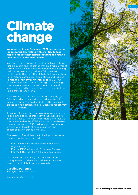# Climate change

**We reported in our December 2021 newsletter on the responsibility resting with charities to take steps to reduce their carbon footprint and reduce their impact on the environment.** 

Investments in responsible funds which avoid fossil fuel producers and industries that emit high levels of carbon are available and information benchmarking their performance is growing. CDP is a not-forprofit charity that runs the global disclosure system for investors, companies, cities, states and regions to manage their environmental impact. CDP run an annual Non-Disclosure Campaign to encourage companies who are not making environmental information readily available improve their disclosure to aid transparency for all.

A climate report has been published recently by Edentree, which is a charity-owned investment management firm who distribute all their available profits to good causes. The full Edentree report may be accessed [here](https://www.edentreeim.com/docs/default-source/amity-hub-documents/carbon-footprint/edentree-montreal-pledge-2021---carbon-footprinting.pdf).

It is generally accepted that global warming needs to be limited to 1.5 degrees centigrade above preindustrial levels. The report considers the effect that companies within the FTSE are expected to have on climate change by 2050, taking into consideration any emission targets already published and decarbonisation trends generally.

The research found that the following increases in climate change are expected:

- For the FTSE All Europe ex-UK index +2.4 degrees Celsius
- For the FTSE All World +3 degrees Celsius
- For the FTSE All Share +4.5 degrees Celsius

This illustrates that every person, investor and charity needs to take even small steps if we are going to limit global warming globally.

# **Caroline Fagence**

*Manager, Audit & Accounts*

**e.** cfagence@pem.co.uk

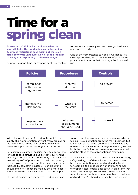# Time for a spring clean

**As we start 2022 it is hard to know what the year will hold. The pandemic may be loosening its grip as restrictions ease again but there are many economic unknowns as well as the looming challenge of responding to climate change.** 

So now is a good time for management and trustees

to take stock internally so that the organisation can plan and be ready to react.

One of the cornerstones to good governance is a clear, appropriate, and complete set of policies and procedures to ensure that your organisation is well run.



With changes to ways of working, turmoil in the supply chain, and creation of what many are calling the 'new normal' there is a risk that many longestablished policies are no longer fit for purpose.

For example, volunteer policies may be appropriate for face to face activities, but do they cover online meetings? Financial procedures may have relied on manual sign-off of printed reports with supporting paper invoices or documentation: have these been replaced by something suitable – can electronic documents or evidence be manipulated more easily, and what are the new checks and balances in place?

The list of policies can seem never ending and can

weigh down the trustees' meeting agenda perhaps feeling like a distraction from the main business, but it is essential that these are regularly reviewed and updated for new ventures or ways of working so that both the risks facing the organisation are managed and the ethos of the organisation is maintained.

So as well as the essentials around health and safety, safeguarding, confidentiality and risk assessment, has the organisation reviewed and understood, for example, the impacts of working from home: workspace assessment, data security, email/internet and social media presence. Has the risk of cyber fraud increased with remote access, been considered and addressed? Should an office be used by few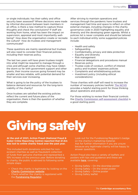or single individuals: has their safety and office security been assessed? Where decisions were made by informal discussion between team members in an office, is there a new method to capture those thoughts and check the conclusions? If staff are working from home, what has been the impact on supervision, appraisal and most importantly wellbeing? How does the organisation create or recreate the culture? How do trustees and management communicate?

These questions are mainly operational but trustees will also need to consider their financial policies, including their reserves policy.

The last two years will have given trustees insight into what might be required to manage through a crisis and although some charities may have ridden the storm so far with government support and other grants, their income sources going forward may be smaller and less reliable, with potential demand for their services ever increasing.

What is going to be the policy of the trustees to balance demand and resources for the long-term viability of the charity?

Once trustees are satisfied the existing policies reflect the current and future plans of the organisation, there is then the question of whether they are complete.

After striving to maintain operations and services through the pandemic have trustees and management had time and space to reflect on other external changes, including changes in the charity governance code in 2020 highlighting equality and diversity and the developing green agenda. Whilst a policies list is never complete and should be tailored to each individual entity some suggested policies include:

- Health and safety
- **Safeguarding**
- Confidentiality, privacy and data protection
- Equality and diversity
- Risk management
- Financial delegations and procedures manual
- Reserves policy
- Trustee code of conduct, conflict of interest policy and trustees' expenses policies
- Complaints and whistleblowing policies
- Investment policy (including ethical considerations)

Those charities with staff will need to increase the number of necessary policies twofold. [The NCVO](https://knowhow.ncvo.org.uk/organisation/operations) provides a helpful starting point for those thinking about operations and policies.

For those wishing to review their financial controls the [Charity Commission self-assessment checklist](https://www.gov.uk/government/publications/internal-financial-controls-for-charities-cc8) is a good starting point.

# Giving safely

**At the end of 2021, Action Fraud (National Fraud & Cyber Crime Reporting Centre) reported that £1.6m was lost to online charity fraud over the past year.** 

This included both donations solicited for nonexistent charities as well as fraudulent collection of funds from genuine charities and represented a 16% increase on the previous year. Before donating to charity, the public is advised to following some simple steps:

- Check the charity is legitimate by looking on the [Charity Commission website](https://register-of-charities.charitycommission.gov.uk/).
- Check whether the charity is registered with the [Fundraising Regulator](https://www.fundraisingregulator.org.uk/directory).

Look out for the Fundraising Regulator's badge on the charity's marketing material. Ask for further information if you are unsure because any legitimate charity will be happy to answer questions.

Action Fraud also have a variety of leaflets and posters with tips and guidance and these are available [here](https://www.actionfraud.police.uk/charities), covering:

- Giving Safely On the doorstep poster
- Giving Safely On the street poster
- **Giving Safely Online poster**
- Giving Safely leaflet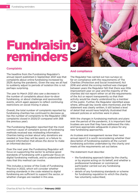# Fundraisin<mark>d</mark><br>reminders

# **Complaints**

The headline from the Fundraising Regulator's annual report published in September 2021 was that complaints about online fundraising increased by 252% during the pandemic. Given the way we all had to suddenly adjust to periods of isolation this is not perhaps surprising.

The year to March 2021 also saw a decrease in the number of complaints about door-to-door fundraising, or about challenge and sponsorship events, which again appears to reflect continuing restrictions on social mixing in place.

Overall, the total number of complaints reported by fundraising charities has continued to decrease as has the number of complaints to the Regulator (362 complaints closed in 2020/21 compared with 368 the previous year).

The Fundraising Regulator reported that the most common cause of complaint across all fundraising methods received was misleading information: Charities being unclear about why donations are needed or how they will be spent, or a failure to present information that allows the donor to make an informed decision.

Over the next year, the Fundraising Regulator will focus on supporting the sector to achieve good standards of fundraising with a particular focus on digital fundraising methods, and to understand the risks that this method can involve.

This includes a review of the Code of Fundraising Practice in 2022, which will consider whether existing standards in the code related to digital fundraising are sufficient to support the sector, or whether changes are needed in this area.

# **And compliance**

The Regulator has carried out two surveys so far on compliance with the requirements of The Charities (Protection and Social Investment) Act 2016 and whilst the scoring method was changed between years the Regulator felt that there was little improvement year on year and the majority of the charities did not report either on all the requirements of the Act or report transparently so that their activity would be clearly understood by a member of the public. Further, the Regulator identified areas where, although key words were mentioned, and the statement was clearly written, it still lacked a level of detail that would have helpfully illustrated that relevant policies or activities were in place.

With the changes in fundraising methods and plans over the period of the pandemic, it is important that trustees are sure that they have addressed the risks and have appropriate safeguards in place for any new fundraising approaches.

As trustees and management review their next annual report it is worth reconsidering whether their description of fundraising explains all the current fundraising activities undertaken by the charity and meets all the requirements set out below.

The statement must describe:

- $\cdot$  the fundraising approach taken by the charity, or by anyone acting on its behalf, and whether a professional fundraiser or commercial participator carried out any fundraising activities;
- details of any fundraising standards or scheme for fundraising regulation to which the charity has voluntarily subscribed;

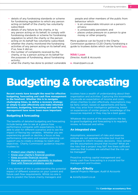- details of any fundraising standards or scheme for fundraising regulation to which any person acting on behalf of the charity has voluntarily subscribed;
- details of any failure by the charity, or by any person acting on its behalf, to comply with fundraising standards or scheme for fundraising regulation to which the charity or the person acting on its behalf has voluntarily subscribed;
- whether the charity monitored the fundraising activities of any person acting on its behalf and, if so, how it did so;
- the number of complaints received by the charity, or by a person acting on its behalf for the purposes of fundraising, about fundraising activity;
- what the charity has done to protect vulnerable

people and other members of the public from behaviour which:

- is an unreasonable intrusion on a person's privacy;
- is unreasonably persistent; and
- places undue pressure on a person to give money or other property.

More guidance can be found in the Charity Commission guidance CC20 Charity fundraising a guide to trustees duties which can be found [here](https://assets.publishing.service.gov.uk/government/uploads/system/uploads/attachment_data/file/798466/CC20.pdf).

## **Nikki Loan**

*Director, Audit & Accounts*

**e.** nloan@pem.co.uk

# Budgeting & forecasting

**Recent events have brought the need for effective budgeting, forecasting and cash flow management to the forefront. Whether this is to navigate challenging times, to define a recovery strategy or simply to plan effectively and make informed decisions, budgeting, forecasting and cash flow management have never been more important.**

# **Budgeting & forecasting**

The benefits of detailed budgeting and forecasting include being able to see at a glance how performance compares with expectations, to be able to plan for different scenarios and to see the impact of flexing key variables. Whether you are experiencing growth or decline, a focus on key performance indicators and scenario planning can support you to create a strategy to reach your objectives. Charity Commission guidance requires trustees to:

- [Protect your charity's money](https://www.gov.uk/guidance/managing-charity-finances#protect-your-charitys-money)
- [Know your charity's financial position](https://www.gov.uk/guidance/managing-charity-finances#know-your-charitys-financial-position)
- [Keep accurate financial records](https://www.gov.uk/guidance/managing-charity-finances#keep-accurate-financial-records)
- **[Manage expenses and payments to trustees](https://www.gov.uk/guidance/managing-charity-finances#manage-expenses-and-payments-to-trustees)**
- [Deal with financial problems quickly](https://www.gov.uk/guidance/managing-charity-finances#deal-with-financial-problems-quickly)

A key element of this is understanding the potential impact of different scenarios on your current and future cash flow requirements. Whilst no-one is able to predict the future charity managers and

trustees have a wealth of understanding about their organisation and activities: Capturing this knowledge to provide an expectation of income and costs, allows charities to plan effectively. Assumptions may be fairly certain, based on agreements and facts; they may arise from intelligence gathering, based on experiences of similar projects, knowledge of the resources required; or they may be a best quess.

Whatever the source of the assumptions the key to good budgeting and forecasting is to regularly review, re-forecast and refine.

# **An integrated view**

Assumptions, assessment of risks and reserves policies are not separate activities but must be integrated to inform trustees decisions. How certain are the assumptions around that income? What are the risks that a project may fail? Are there sufficient reserves that trustees are satisfied that the risk can be managed?

Proactive working capital management and timely cash flow forecasting is a crucial tool for management and trustees.

# **Kathryn O'Reilly**

*Special Projects Manager, Audit & Accounts*

**e.** koreilly@pem.co.uk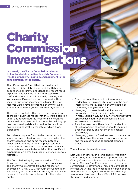# Charity **Commission** Investigations

**Last week, the Charity Commission released its inquiry decision on Keeping Kids Company ("Kids Company"), finding mismanagement in the administration of the charity.** 

The official report found that the charity had operated a high risk business model with heavy dependence on grants and donations, recent rapid expansion had resulted in failure to pay HMRC, staff and other creditors in a timely manner, and low reserves. Expenditure had increased without securing sufficient income and a higher level of reserves would have allowed the charity to avoid liquidation, or to merge with another organisation.

The report concluded that the trustees were aware of the risky business model that they were operating under and recognised the need to make changes but should have taken action sooner by building up reserves, clearing debts, improving the cashflow position and controlling the rate at which it was expanding.

Record-keeping was found to be below par, with some documents having been destroyed when the charity collapsed and some records potentially never having existed in the first place. Without these records the Commission said that there was inadequate evidence to be satisfied that significant expenditure on a small number of beneficiaries was justifiable.

The Commission inquiry was opened in 2015 and it has been a lengthy process to reach conclusion. The charity was removed from the register of charities on 13 May 2021. Although the Commission acknowledges that the Kids Company situation was unusual, it identifies some lessons for the wider public:

- **Effective board leadership A permanent** leadership role in a charity is rarely in the best interest of a charity and no charity should be defined by a single individual.
- Managing risk associated with innovative approaches – Public benefit can be delivered in many varied ways, but any new and innovative approaches need to be balanced against an assessment of the risks.
- Planning reserves There is no "one size fits all" situation, but all charities should maintain a reserves policy and review their finances accordingly.
- Managing growth Charities need to make sure that they have the infrastructure, governance and resources needed to support planned growth.

The full report is available [here](https://www.gov.uk/government/publications/charity-inquiry-keeping-kids-company/charity-inquiry-keeping-kids-company).

Last week another high profile charity was again in the spotlight as news outlets reported that the Charity Commission is about to open an inquiry into the Captain Tom Foundation, citing concerns surrounding its governance, including conflicts of interest. As yet no inquiry has formally been opened therefore at this stage it cannot be said that any wrongdoing has taken place. We will follow up on this matter in due course.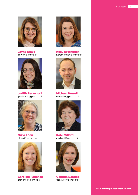*The* **Cambridge accountancy firm.**



Jayne Rowe jrowe@pem.co.uk



Judith Pederzolli jpederzolli@pem.co.uk



Nikki Loan nloan@pem.co.uk



Caroline Fagence cfagence@pem.co.uk



Kelly Bretherick kbretherick@pem.co.uk



Michael Hewett mhewett@pem.co.uk



Kate Millard cmillard@pem.co.uk



Gemma Baratte gbaratte@pem.co.uk